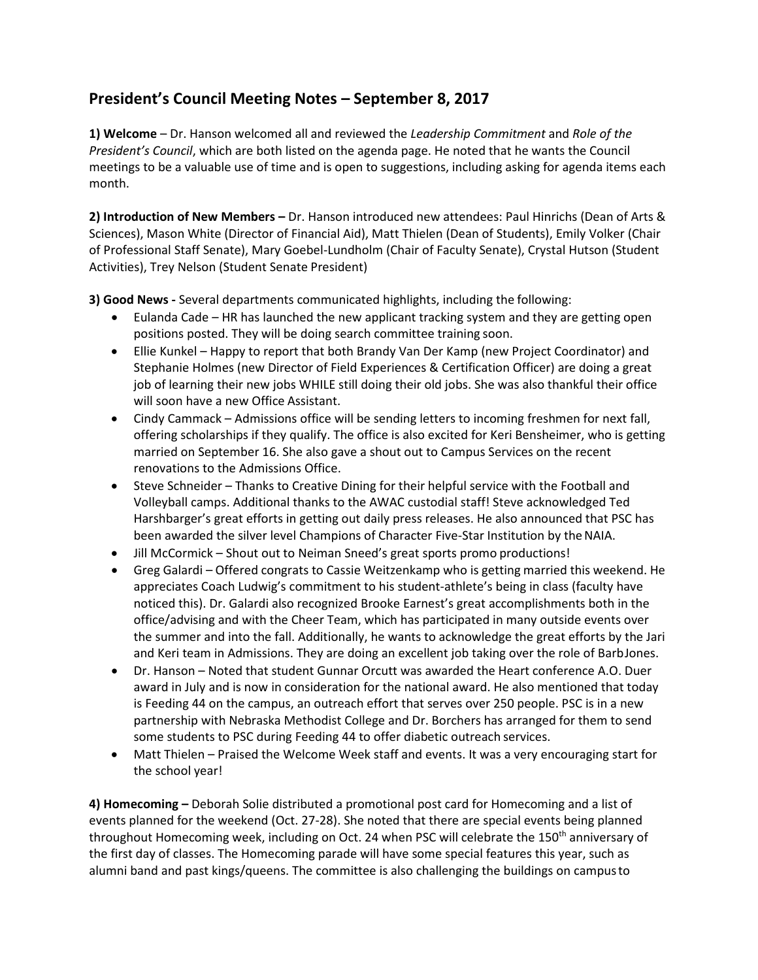## **President's Council Meeting Notes – September 8, 2017**

**1) Welcome** – Dr. Hanson welcomed all and reviewed the *Leadership Commitment* and *Role of the President's Council*, which are both listed on the agenda page. He noted that he wants the Council meetings to be a valuable use of time and is open to suggestions, including asking for agenda items each month.

**2) Introduction of New Members –** Dr. Hanson introduced new attendees: Paul Hinrichs (Dean of Arts & Sciences), Mason White (Director of Financial Aid), Matt Thielen (Dean of Students), Emily Volker (Chair of Professional Staff Senate), Mary Goebel-Lundholm (Chair of Faculty Senate), Crystal Hutson (Student Activities), Trey Nelson (Student Senate President)

**3) Good News -** Several departments communicated highlights, including the following:

- · Eulanda Cade HR has launched the new applicant tracking system and they are getting open positions posted. They will be doing search committee training soon.
- · Ellie Kunkel Happy to report that both Brandy Van Der Kamp (new Project Coordinator) and Stephanie Holmes (new Director of Field Experiences & Certification Officer) are doing a great job of learning their new jobs WHILE still doing their old jobs. She was also thankful their office will soon have a new Office Assistant.
- · Cindy Cammack Admissions office will be sending letters to incoming freshmen for next fall, offering scholarships if they qualify. The office is also excited for Keri Bensheimer, who is getting married on September 16. She also gave a shout out to Campus Services on the recent renovations to the Admissions Office.
- · Steve Schneider Thanks to Creative Dining for their helpful service with the Football and Volleyball camps. Additional thanks to the AWAC custodial staff! Steve acknowledged Ted Harshbarger's great efforts in getting out daily press releases. He also announced that PSC has been awarded the silver level Champions of Character Five-Star Institution by theNAIA.
- · Jill McCormick Shout out to Neiman Sneed's great sports promo productions!
- · Greg Galardi Offered congrats to Cassie Weitzenkamp who is getting married this weekend. He appreciates Coach Ludwig's commitment to his student-athlete's being in class (faculty have noticed this). Dr. Galardi also recognized Brooke Earnest's great accomplishments both in the office/advising and with the Cheer Team, which has participated in many outside events over the summer and into the fall. Additionally, he wants to acknowledge the great efforts by the Jari and Keri team in Admissions. They are doing an excellent job taking over the role of BarbJones.
- · Dr. Hanson Noted that student Gunnar Orcutt was awarded the Heart conference A.O. Duer award in July and is now in consideration for the national award. He also mentioned that today is Feeding 44 on the campus, an outreach effort that serves over 250 people. PSC is in a new partnership with Nebraska Methodist College and Dr. Borchers has arranged for them to send some students to PSC during Feeding 44 to offer diabetic outreach services.
- Matt Thielen Praised the Welcome Week staff and events. It was a very encouraging start for the school year!

**4) Homecoming –** Deborah Solie distributed a promotional post card for Homecoming and a list of events planned for the weekend (Oct. 27-28). She noted that there are special events being planned throughout Homecoming week, including on Oct. 24 when PSC will celebrate the 150<sup>th</sup> anniversary of the first day of classes. The Homecoming parade will have some special features this year, such as alumni band and past kings/queens. The committee is also challenging the buildings on campusto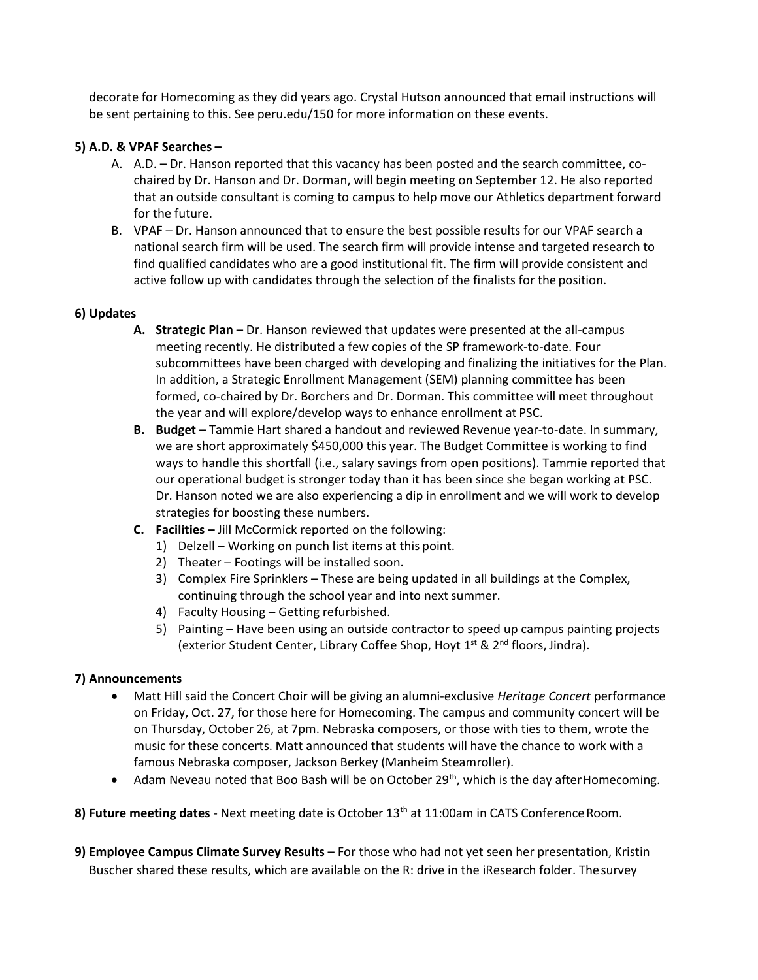decorate for Homecoming as they did years ago. Crystal Hutson announced that email instructions will be sent pertaining to this. See peru.edu/150 for more information on these events.

## **5) A.D. & VPAF Searches –**

- A. A.D. Dr. Hanson reported that this vacancy has been posted and the search committee, cochaired by Dr. Hanson and Dr. Dorman, will begin meeting on September 12. He also reported that an outside consultant is coming to campus to help move our Athletics department forward for the future.
- B. VPAF Dr. Hanson announced that to ensure the best possible results for our VPAF search a national search firm will be used. The search firm will provide intense and targeted research to find qualified candidates who are a good institutional fit. The firm will provide consistent and active follow up with candidates through the selection of the finalists for the position.

## **6) Updates**

- **A. Strategic Plan**  Dr. Hanson reviewed that updates were presented at the all-campus meeting recently. He distributed a few copies of the SP framework-to-date. Four subcommittees have been charged with developing and finalizing the initiatives for the Plan. In addition, a Strategic Enrollment Management (SEM) planning committee has been formed, co-chaired by Dr. Borchers and Dr. Dorman. This committee will meet throughout the year and will explore/develop ways to enhance enrollment at PSC.
- **B. Budget**  Tammie Hart shared a handout and reviewed Revenue year-to-date. In summary, we are short approximately \$450,000 this year. The Budget Committee is working to find ways to handle this shortfall (i.e., salary savings from open positions). Tammie reported that our operational budget is stronger today than it has been since she began working at PSC. Dr. Hanson noted we are also experiencing a dip in enrollment and we will work to develop strategies for boosting these numbers.
- **C. Facilities –** Jill McCormick reported on the following:
	- 1) Delzell Working on punch list items at this point.
	- 2) Theater Footings will be installed soon.
	- 3) Complex Fire Sprinklers These are being updated in all buildings at the Complex, continuing through the school year and into next summer.
	- 4) Faculty Housing Getting refurbished.
	- 5) Painting Have been using an outside contractor to speed up campus painting projects (exterior Student Center, Library Coffee Shop, Hoyt  $1^{st}$  &  $2^{nd}$  floors, Jindra).

## **7) Announcements**

- · Matt Hill said the Concert Choir will be giving an alumni-exclusive *Heritage Concert* performance on Friday, Oct. 27, for those here for Homecoming. The campus and community concert will be on Thursday, October 26, at 7pm. Nebraska composers, or those with ties to them, wrote the music for these concerts. Matt announced that students will have the chance to work with a famous Nebraska composer, Jackson Berkey (Manheim Steamroller).
- Adam Neveau noted that Boo Bash will be on October 29<sup>th</sup>, which is the day after Homecoming.

8) Future meeting dates - Next meeting date is October 13<sup>th</sup> at 11:00am in CATS Conference Room.

**9) Employee Campus Climate Survey Results** – For those who had not yet seen her presentation, Kristin Buscher shared these results, which are available on the R: drive in the iResearch folder. Thesurvey